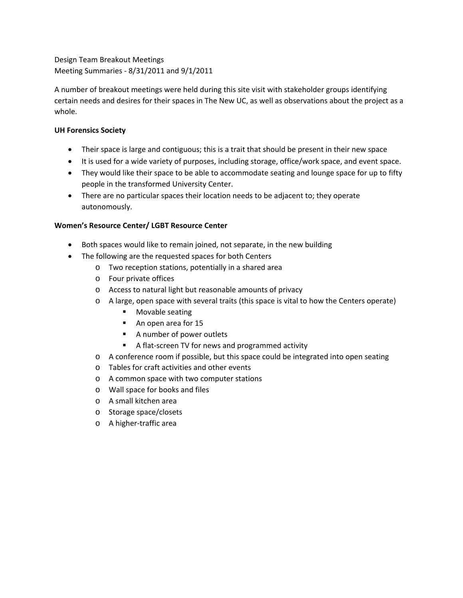Design Team Breakout Meetings Meeting Summaries ‐ 8/31/2011 and 9/1/2011

A number of breakout meetings were held during this site visit with stakeholder groups identifying certain needs and desires for their spaces in The New UC, as well as observations about the project as a whole.

# **UH Forensics Society**

- Their space is large and contiguous; this is a trait that should be present in their new space
- It is used for a wide variety of purposes, including storage, office/work space, and event space.
- They would like their space to be able to accommodate seating and lounge space for up to fifty people in the transformed University Center.
- There are no particular spaces their location needs to be adjacent to; they operate autonomously.

# **Women's Resource Center/ LGBT Resource Center**

- Both spaces would like to remain joined, not separate, in the new building
- The following are the requested spaces for both Centers
	- o Two reception stations, potentially in a shared area
	- o Four private offices
	- o Access to natural light but reasonable amounts of privacy
	- o A large, open space with several traits (this space is vital to how the Centers operate)
		- **Movable seating**
		- An open area for 15
		- A number of power outlets
		- A flat-screen TV for news and programmed activity
	- o A conference room if possible, but this space could be integrated into open seating
	- o Tables for craft activities and other events
	- o A common space with two computer stations
	- o Wall space for books and files
	- o A small kitchen area
	- o Storage space/closets
	- o A higher‐traffic area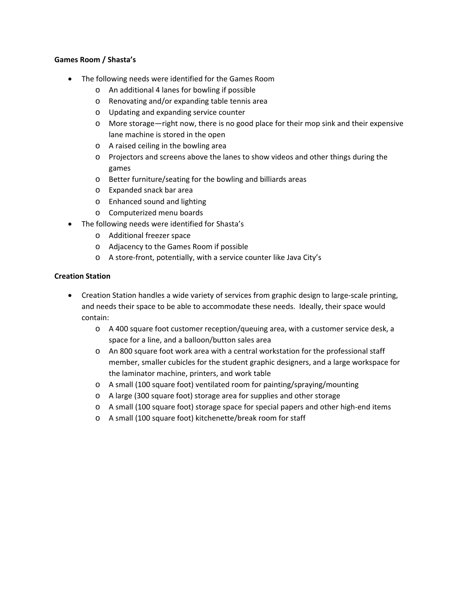## **Games Room / Shasta's**

- The following needs were identified for the Games Room
	- o An additional 4 lanes for bowling if possible
	- o Renovating and/or expanding table tennis area
	- o Updating and expanding service counter
	- o More storage—right now, there is no good place for their mop sink and their expensive lane machine is stored in the open
	- o A raised ceiling in the bowling area
	- o Projectors and screens above the lanes to show videos and other things during the games
	- o Better furniture/seating for the bowling and billiards areas
	- o Expanded snack bar area
	- o Enhanced sound and lighting
	- o Computerized menu boards
- The following needs were identified for Shasta's
	- o Additional freezer space
	- o Adjacency to the Games Room if possible
	- o A store‐front, potentially, with a service counter like Java City's

## **Creation Station**

- Creation Station handles a wide variety of services from graphic design to large-scale printing, and needs their space to be able to accommodate these needs. Ideally, their space would contain:
	- o A 400 square foot customer reception/queuing area, with a customer service desk, a space for a line, and a balloon/button sales area
	- o An 800 square foot work area with a central workstation for the professional staff member, smaller cubicles for the student graphic designers, and a large workspace for the laminator machine, printers, and work table
	- o A small (100 square foot) ventilated room for painting/spraying/mounting
	- o A large (300 square foot) storage area for supplies and other storage
	- o A small (100 square foot) storage space for special papers and other high‐end items
	- o A small (100 square foot) kitchenette/break room for staff